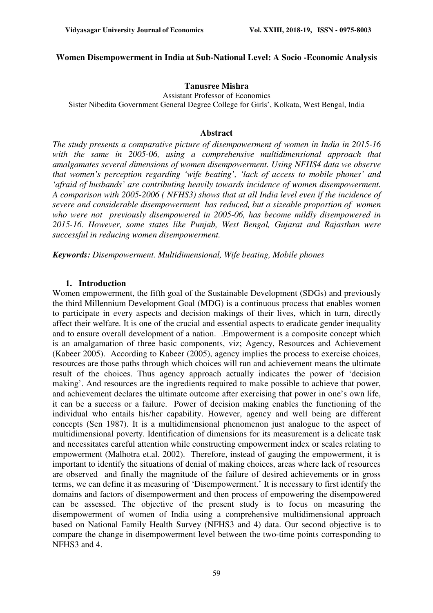## **Women Disempowerment in India at Sub-National Level: A Socio -Economic Analysis**

## **Tanusree Mishra**

Assistant Professor of Economics Sister Nibedita Government General Degree College for Girls', Kolkata, West Bengal, India

### **Abstract**

*The study presents a comparative picture of disempowerment of women in India in 2015-16*  with the same in 2005-06, using a comprehensive multidimensional approach that *amalgamates several dimensions of women disempowerment. Using NFHS4 data we observe that women's perception regarding 'wife beating', 'lack of access to mobile phones' and 'afraid of husbands' are contributing heavily towards incidence of women disempowerment. A comparison with 2005-2006 ( NFHS3) shows that at all India level even if the incidence of severe and considerable disempowerment has reduced, but a sizeable proportion of women who were not previously disempowered in 2005-06, has become mildly disempowered in 2015-16. However, some states like Punjab, West Bengal, Gujarat and Rajasthan were successful in reducing women disempowerment.* 

*Keywords: Disempowerment. Multidimensional, Wife beating, Mobile phones*

## **1. Introduction**

Women empowerment, the fifth goal of the Sustainable Development (SDGs) and previously the third Millennium Development Goal (MDG) is a continuous process that enables women to participate in every aspects and decision makings of their lives, which in turn, directly affect their welfare. It is one of the crucial and essential aspects to eradicate gender inequality and to ensure overall development of a nation. .Empowerment is a composite concept which is an amalgamation of three basic components, viz; Agency, Resources and Achievement (Kabeer 2005). According to Kabeer (2005), agency implies the process to exercise choices, resources are those paths through which choices will run and achievement means the ultimate result of the choices. Thus agency approach actually indicates the power of 'decision making'. And resources are the ingredients required to make possible to achieve that power, and achievement declares the ultimate outcome after exercising that power in one's own life, it can be a success or a failure. Power of decision making enables the functioning of the individual who entails his/her capability. However, agency and well being are different concepts (Sen 1987). It is a multidimensional phenomenon just analogue to the aspect of multidimensional poverty. Identification of dimensions for its measurement is a delicate task and necessitates careful attention while constructing empowerment index or scales relating to empowerment (Malhotra et.al. 2002). Therefore, instead of gauging the empowerment, it is important to identify the situations of denial of making choices, areas where lack of resources are observed and finally the magnitude of the failure of desired achievements or in gross terms, we can define it as measuring of 'Disempowerment.' It is necessary to first identify the domains and factors of disempowerment and then process of empowering the disempowered can be assessed. The objective of the present study is to focus on measuring the disempowerment of women of India using a comprehensive multidimensional approach based on National Family Health Survey (NFHS3 and 4) data. Our second objective is to compare the change in disempowerment level between the two-time points corresponding to NFHS3 and 4.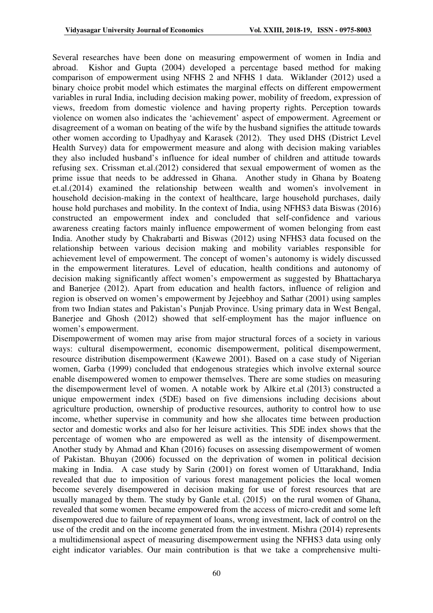Several researches have been done on measuring empowerment of women in India and abroad. Kishor and Gupta (2004) developed a percentage based method for making comparison of empowerment using NFHS 2 and NFHS 1 data. Wiklander (2012) used a binary choice probit model which estimates the marginal effects on different empowerment variables in rural India, including decision making power, mobility of freedom, expression of views, freedom from domestic violence and having property rights. Perception towards violence on women also indicates the 'achievement' aspect of empowerment. Agreement or disagreement of a woman on beating of the wife by the husband signifies the attitude towards other women according to Upadhyay and Karasek (2012). They used DHS (District Level Health Survey) data for empowerment measure and along with decision making variables they also included husband's influence for ideal number of children and attitude towards refusing sex. Crissman et.al.(2012) considered that sexual empowerment of women as the prime issue that needs to be addressed in Ghana. Another study in Ghana by Boateng et.al.(2014) examined the relationship between wealth and women's involvement in household decision-making in the context of healthcare, large household purchases, daily house hold purchases and mobility. In the context of India, using NFHS3 data Biswas (2016) constructed an empowerment index and concluded that self-confidence and various awareness creating factors mainly influence empowerment of women belonging from east India. Another study by Chakrabarti and Biswas (2012) using NFHS3 data focused on the relationship between various decision making and mobility variables responsible for achievement level of empowerment. The concept of women's autonomy is widely discussed in the empowerment literatures. Level of education, health conditions and autonomy of decision making significantly affect women's empowerment as suggested by Bhattacharya and Banerjee (2012). Apart from education and health factors, influence of religion and region is observed on women's empowerment by Jejeebhoy and Sathar (2001) using samples from two Indian states and Pakistan's Punjab Province. Using primary data in West Bengal, Banerjee and Ghosh (2012) showed that self-employment has the major influence on women's empowerment.

Disempowerment of women may arise from major structural forces of a society in various ways: cultural disempowerment, economic disempowerment, political disempowerment, resource distribution disempowerment (Kawewe 2001). Based on a case study of Nigerian women, Garba (1999) concluded that endogenous strategies which involve external source enable disempowered women to empower themselves. There are some studies on measuring the disempowerment level of women. A notable work by Alkire et.al (2013) constructed a unique empowerment index (5DE) based on five dimensions including decisions about agriculture production, ownership of productive resources, authority to control how to use income, whether supervise in community and how she allocates time between production sector and domestic works and also for her leisure activities. This 5DE index shows that the percentage of women who are empowered as well as the intensity of disempowerment. Another study by Ahmad and Khan (2016) focuses on assessing disempowerment of women of Pakistan. Bhuyan (2006) focussed on the deprivation of women in political decision making in India. A case study by Sarin (2001) on forest women of Uttarakhand, India revealed that due to imposition of various forest management policies the local women become severely disempowered in decision making for use of forest resources that are usually managed by them. The study by Ganle et.al. (2015) on the rural women of Ghana, revealed that some women became empowered from the access of micro-credit and some left disempowered due to failure of repayment of loans, wrong investment, lack of control on the use of the credit and on the income generated from the investment. Mishra (2014) represents a multidimensional aspect of measuring disempowerment using the NFHS3 data using only eight indicator variables. Our main contribution is that we take a comprehensive multi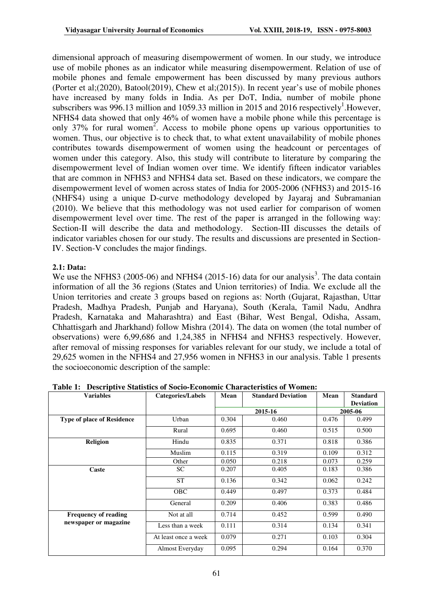dimensional approach of measuring disempowerment of women. In our study, we introduce use of mobile phones as an indicator while measuring disempowerment. Relation of use of mobile phones and female empowerment has been discussed by many previous authors (Porter et al;(2020), Batool(2019), Chew et al;(2015)). In recent year's use of mobile phones have increased by many folds in India. As per DoT, India, number of mobile phone subscribers was 996.13 million and 1059.33 million in 2015 and 2016 respectively<sup>1</sup>. However, NFHS4 data showed that only 46% of women have a mobile phone while this percentage is only 37% for rural women<sup>2</sup>. Access to mobile phone opens up various opportunities to women. Thus, our objective is to check that, to what extent unavailability of mobile phones contributes towards disempowerment of women using the headcount or percentages of women under this category. Also, this study will contribute to literature by comparing the disempowerment level of Indian women over time. We identify fifteen indicator variables that are common in NFHS3 and NFHS4 data set. Based on these indicators, we compare the disempowerment level of women across states of India for 2005-2006 (NFHS3) and 2015-16 (NHFS4) using a unique D-curve methodology developed by Jayaraj and Subramanian (2010). We believe that this methodology was not used earlier for comparison of women disempowerment level over time. The rest of the paper is arranged in the following way: Section-II will describe the data and methodology. Section-III discusses the details of indicator variables chosen for our study. The results and discussions are presented in Section-IV. Section-V concludes the major findings.

### **2.1: Data:**

We use the NFHS3 (2005-06) and NFHS4 (2015-16) data for our analysis<sup>3</sup>. The data contain information of all the 36 regions (States and Union territories) of India. We exclude all the Union territories and create 3 groups based on regions as: North (Gujarat, Rajasthan, Uttar Pradesh, Madhya Pradesh, Punjab and Haryana), South (Kerala, Tamil Nadu, Andhra Pradesh, Karnataka and Maharashtra) and East (Bihar, West Bengal, Odisha, Assam, Chhattisgarh and Jharkhand) follow Mishra (2014). The data on women (the total number of observations) were 6,99,686 and 1,24,385 in NFHS4 and NFHS3 respectively. However, after removal of missing responses for variables relevant for our study, we include a total of 29,625 women in the NFHS4 and 27,956 women in NFHS3 in our analysis. Table 1 presents the socioeconomic description of the sample:

| <b>Variables</b>                  | <b>Categories/Labels</b> | Mean  | <b>Standard Deviation</b> | Mean    | <b>Standard</b>  |  |
|-----------------------------------|--------------------------|-------|---------------------------|---------|------------------|--|
|                                   |                          |       |                           |         | <b>Deviation</b> |  |
|                                   |                          |       | 2015-16                   | 2005-06 |                  |  |
| <b>Type of place of Residence</b> | Urban                    | 0.304 | 0.460                     | 0.476   | 0.499            |  |
|                                   | Rural                    | 0.695 | 0.460                     | 0.515   | 0.500            |  |
| <b>Religion</b>                   | Hindu                    | 0.835 | 0.371                     | 0.818   | 0.386            |  |
|                                   | Muslim                   | 0.115 | 0.319                     | 0.109   | 0.312            |  |
|                                   | Other                    | 0.050 | 0.218                     | 0.073   | 0.259            |  |
| Caste                             | SC.                      | 0.207 | 0.405                     | 0.183   | 0.386            |  |
|                                   | <b>ST</b>                | 0.136 | 0.342                     | 0.062   | 0.242            |  |
|                                   | <b>OBC</b>               | 0.449 | 0.497                     |         | 0.484            |  |
|                                   | General                  | 0.209 | 0.406                     | 0.383   | 0.486            |  |
| <b>Frequency of reading</b>       | Not at all               | 0.714 | 0.452                     | 0.599   | 0.490            |  |
| newspaper or magazine             | Less than a week         | 0.111 | 0.314                     | 0.134   | 0.341            |  |
|                                   | At least once a week     | 0.079 | 0.271                     | 0.103   | 0.304            |  |
|                                   | Almost Everyday          | 0.095 | 0.294                     | 0.164   | 0.370            |  |

**Table 1: Descriptive Statistics of Socio-Economic Characteristics of Women:**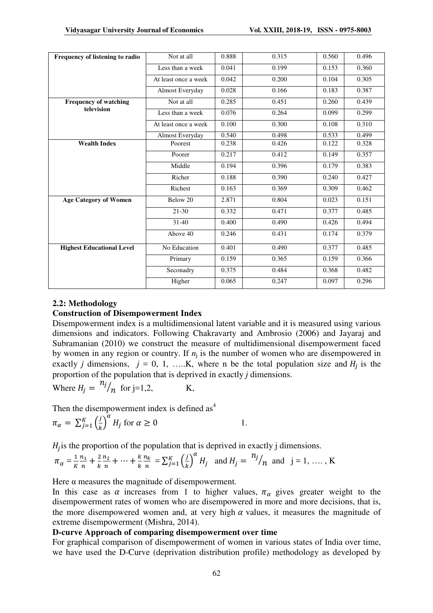| Frequency of listening to radio  | Not at all           | 0.888 | 0.315 | 0.560 | 0.496 |
|----------------------------------|----------------------|-------|-------|-------|-------|
|                                  | Less than a week     | 0.041 | 0.199 | 0.153 | 0.360 |
|                                  | At least once a week | 0.042 | 0.200 | 0.104 | 0.305 |
|                                  | Almost Everyday      | 0.028 | 0.166 | 0.183 | 0.387 |
| <b>Frequency of watching</b>     | Not at all           | 0.285 | 0.451 | 0.260 | 0.439 |
| television                       | Less than a week     | 0.076 | 0.264 | 0.099 | 0.299 |
|                                  | At least once a week | 0.100 | 0.300 | 0.108 | 0.310 |
|                                  | Almost Everyday      | 0.540 | 0.498 | 0.533 | 0.499 |
| <b>Wealth Index</b>              | Poorest              | 0.238 | 0.426 | 0.122 | 0.328 |
|                                  | Poorer               | 0.217 | 0.412 | 0.149 | 0.357 |
|                                  | Middle               | 0.194 | 0.396 | 0.179 | 0.383 |
|                                  | Richer               | 0.188 | 0.390 | 0.240 | 0.427 |
|                                  | Richest              | 0.163 | 0.369 | 0.309 | 0.462 |
| <b>Age Category of Women</b>     | Below 20             | 2.871 | 0.804 | 0.023 | 0.151 |
|                                  | $21 - 30$            | 0.332 | 0.471 | 0.377 | 0.485 |
|                                  | $31-40$              | 0.400 | 0.490 | 0.426 | 0.494 |
|                                  | Above 40             | 0.246 | 0.431 | 0.174 | 0.379 |
| <b>Highest Educational Level</b> | No Education         | 0.401 | 0.490 | 0.377 | 0.485 |
|                                  | Primary              | 0.159 | 0.365 | 0.159 | 0.366 |
|                                  | Seconadry            | 0.375 | 0.484 | 0.368 | 0.482 |
|                                  | Higher               | 0.065 | 0.247 | 0.097 | 0.296 |

# **2.2: Methodology**

# **Construction of Disempowerment Index**

Disempowerment index is a multidimensional latent variable and it is measured using various dimensions and indicators. Following Chakravarty and Ambrosio (2006) and Jayaraj and Subramanian (2010) we construct the measure of multidimensional disempowerment faced by women in any region or country. If  $n_j$  is the number of women who are disempowered in exactly *j* dimensions, *j* = 0, 1, …..K, where n be the total population size and Æ® is the proportion of the population that is deprived in exactly *j* dimensions.

Where 
$$
H_j = \frac{n_j}{n}
$$
 for j=1,2, K,

Then the disempowerment index is defined  $\text{as}^4$ 

$$
\pi_{\alpha} = \sum_{j=1}^{K} \left(\frac{j}{k}\right)^{\alpha} H_j \text{ for } \alpha \ge 0
$$
 1.

 $H_j$  is the proportion of the population that is deprived in exactly j dimensions.

$$
\pi_{\alpha} = \frac{1}{K} \frac{n_1}{n} + \frac{2}{K} \frac{n_2}{n} + \dots + \frac{k}{K} \frac{n_k}{n} = \sum_{j=1}^{K} \left(\frac{j}{k}\right)^{\alpha} H_j \text{ and } H_j = \frac{n_j}{n} \text{ and } j = 1, \dots, K
$$

Here  $\alpha$  measures the magnitude of disempowerment.

In this case as  $\alpha$  increases from 1 to higher values,  $\pi_{\alpha}$  gives greater weight to the disempowerment rates of women who are disempowered in more and more decisions, that is, the more disempowered women and, at very high  $\alpha$  values, it measures the magnitude of extreme disempowerment (Mishra, 2014).

## **D-curve Approach of comparing disempowerment over time**

For graphical comparison of disempowerment of women in various states of India over time, we have used the D-Curve (deprivation distribution profile) methodology as developed by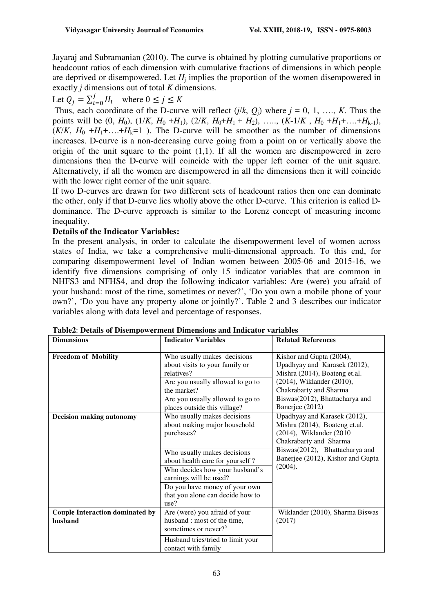Jayaraj and Subramanian (2010). The curve is obtained by plotting cumulative proportions or headcount ratios of each dimension with cumulative fractions of dimensions in which people are deprived or disempowered. Let *H*<sup>j</sup> implies the proportion of the women disempowered in exactly *j* dimensions out of total *K* dimensions.

# Let  $Q_j = \sum_{l=0}^j H_l$  where  $0 \le j \le K$

Thus, each coordinate of the D-curve will reflect  $(j/k, Q_i)$  where  $j = 0, 1, \ldots, K$ . Thus the points will be  $(0, H_0)$ ,  $(1/K, H_0 + H_1)$ ,  $(2/K, H_0 + H_1 + H_2)$ , …,  $(K-1/K, H_0 + H_1 + \ldots + H_{k-1})$ ,  $(K/K, H_0 + H_1 + ... + H_k = 1)$ . The D-curve will be smoother as the number of dimensions increases. D-curve is a non-decreasing curve going from a point on or vertically above the origin of the unit square to the point  $(1,1)$ . If all the women are disempowered in zero dimensions then the D-curve will coincide with the upper left corner of the unit square. Alternatively, if all the women are disempowered in all the dimensions then it will coincide with the lower right corner of the unit square.

If two D-curves are drawn for two different sets of headcount ratios then one can dominate the other, only if that D-curve lies wholly above the other D-curve. This criterion is called Ddominance. The D-curve approach is similar to the Lorenz concept of measuring income inequality.

# **Details of the Indicator Variables:**

In the present analysis, in order to calculate the disempowerment level of women across states of India, we take a comprehensive multi-dimensional approach. To this end, for comparing disempowerment level of Indian women between 2005-06 and 2015-16, we identify five dimensions comprising of only 15 indicator variables that are common in NHFS3 and NFHS4, and drop the following indicator variables: Are (were) you afraid of your husband: most of the time, sometimes or never?', 'Do you own a mobile phone of your own?', 'Do you have any property alone or jointly?'. Table 2 and 3 describes our indicator variables along with data level and percentage of responses.

| <b>Dimensions</b>                                 | <b>Indicator Variables</b>                                                                                                                                                                                                                                                           | <b>Related References</b>                                                                                                                                                                             |  |  |  |
|---------------------------------------------------|--------------------------------------------------------------------------------------------------------------------------------------------------------------------------------------------------------------------------------------------------------------------------------------|-------------------------------------------------------------------------------------------------------------------------------------------------------------------------------------------------------|--|--|--|
| <b>Freedom of Mobility</b>                        | Who usually makes decisions<br>about visits to your family or<br>relatives?<br>Are you usually allowed to go to<br>the market?<br>Are you usually allowed to go to<br>places outside this village?                                                                                   | Kishor and Gupta (2004),<br>Upadhyay and Karasek (2012),<br>Mishra (2014), Boateng et.al.<br>(2014), Wiklander (2010),<br>Chakrabarty and Sharma<br>Biswas(2012), Bhattacharya and<br>Banerjee (2012) |  |  |  |
| <b>Decision making autonomy</b>                   | Who usually makes decisions<br>about making major household<br>purchases?<br>Who usually makes decisions<br>about health care for yourself?<br>Who decides how your husband's<br>earnings will be used?<br>Do you have money of your own<br>that you alone can decide how to<br>use? | Upadhyay and Karasek (2012),<br>Mishra (2014), Boateng et.al.<br>(2014), Wiklander (2010)<br>Chakrabarty and Sharma<br>Biswas(2012), Bhattacharya and<br>Banerjee (2012), Kishor and Gupta<br>(2004). |  |  |  |
| <b>Couple Interaction dominated by</b><br>husband | Are (were) you afraid of your<br>husband: most of the time,<br>sometimes or never? <sup>5</sup><br>Husband tries/tried to limit your<br>contact with family                                                                                                                          | Wiklander (2010), Sharma Biswas<br>(2017)                                                                                                                                                             |  |  |  |

**Table2**: **Details of Disempowerment Dimensions and Indicator variables**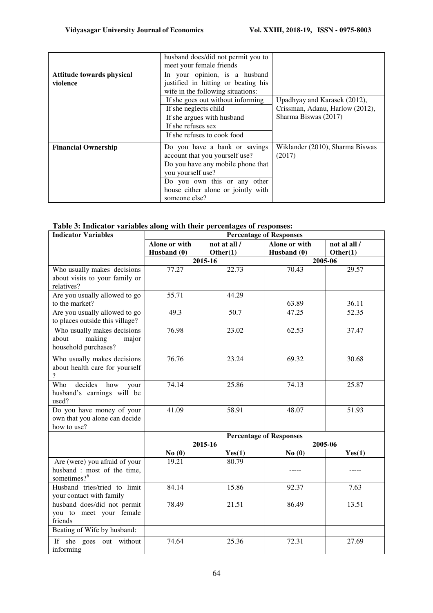|                            | husband does/did not permit you to  |                                 |
|----------------------------|-------------------------------------|---------------------------------|
|                            | meet your female friends            |                                 |
| Attitude towards physical  | In your opinion, is a husband       |                                 |
| violence                   | justified in hitting or beating his |                                 |
|                            | wife in the following situations:   |                                 |
|                            | If she goes out without informing   | Upadhyay and Karasek (2012),    |
|                            | If she neglects child               | Crissman, Adanu, Harlow (2012), |
|                            | If she argues with husband          | Sharma Biswas (2017)            |
|                            | If she refuses sex                  |                                 |
|                            | If she refuses to cook food         |                                 |
| <b>Financial Ownership</b> | Do you have a bank or savings       | Wiklander (2010), Sharma Biswas |
|                            | account that you yourself use?      | (2017)                          |
|                            | Do you have any mobile phone that   |                                 |
|                            | you yourself use?                   |                                 |
|                            | Do you own this or any other        |                                 |
|                            | house either alone or jointly with  |                                 |
|                            | someone else?                       |                                 |

| Table 3: Indicator variables along with their percentages of responses: |  |  |
|-------------------------------------------------------------------------|--|--|
|-------------------------------------------------------------------------|--|--|

| <b>Indicator Variables</b>                       |                                |              | <b>Percentage of Responses</b> |              |  |  |  |
|--------------------------------------------------|--------------------------------|--------------|--------------------------------|--------------|--|--|--|
|                                                  | Alone or with                  | not at all / | Alone or with                  | not al all / |  |  |  |
|                                                  | Husband (0)                    | Other(1)     | Husband (0)                    | Other(1)     |  |  |  |
|                                                  |                                | $2015 - 16$  |                                | 2005-06      |  |  |  |
| Who usually makes decisions                      | 77.27                          | 22.73        | 70.43                          | 29.57        |  |  |  |
| about visits to your family or                   |                                |              |                                |              |  |  |  |
| relatives?                                       |                                |              |                                |              |  |  |  |
| Are you usually allowed to go                    | 55.71                          | 44.29        |                                |              |  |  |  |
| to the market?                                   |                                |              | 63.89                          | 36.11        |  |  |  |
| Are you usually allowed to go                    | 49.3                           | 50.7         | 47.25                          | 52.35        |  |  |  |
| to places outside this village?                  |                                |              |                                |              |  |  |  |
| Who usually makes decisions                      | 76.98                          | 23.02        | 62.53                          | 37.47        |  |  |  |
| about<br>making<br>major                         |                                |              |                                |              |  |  |  |
| household purchases?                             |                                |              |                                |              |  |  |  |
|                                                  | 76.76                          |              |                                |              |  |  |  |
| Who usually makes decisions                      |                                | 23.24        | 69.32                          | 30.68        |  |  |  |
| about health care for yourself<br>$\overline{?}$ |                                |              |                                |              |  |  |  |
|                                                  |                                |              |                                |              |  |  |  |
| Who<br>decides<br>how<br>your                    | 74.14                          | 25.86        | 74.13                          | 25.87        |  |  |  |
| husband's earnings will be                       |                                |              |                                |              |  |  |  |
| used?                                            |                                |              |                                |              |  |  |  |
| Do you have money of your                        | 41.09                          | 58.91        | 48.07                          | 51.93        |  |  |  |
| own that you alone can decide                    |                                |              |                                |              |  |  |  |
| how to use?                                      |                                |              |                                |              |  |  |  |
|                                                  | <b>Percentage of Responses</b> |              |                                |              |  |  |  |
|                                                  |                                | 2015-16      |                                | 2005-06      |  |  |  |
|                                                  | No(0)                          | Yes(1)       | No(0)                          | Yes(1)       |  |  |  |
| Are (were) you afraid of your                    | 19.21                          | 80.79        |                                |              |  |  |  |
| husband : most of the time,                      |                                |              |                                |              |  |  |  |
| sometimes? <sup>6</sup>                          |                                |              |                                |              |  |  |  |
| Husband tries/tried to limit                     | 84.14                          | 15.86        | 92.37                          | 7.63         |  |  |  |
| your contact with family                         |                                |              |                                |              |  |  |  |
| husband does/did not permit                      | 78.49                          | 21.51        | 86.49                          | 13.51        |  |  |  |
| you to meet your female                          |                                |              |                                |              |  |  |  |
| friends                                          |                                |              |                                |              |  |  |  |
| Beating of Wife by husband:                      |                                |              |                                |              |  |  |  |
| If she goes out without                          | 74.64                          | 25.36        | 72.31                          | 27.69        |  |  |  |
| informing                                        |                                |              |                                |              |  |  |  |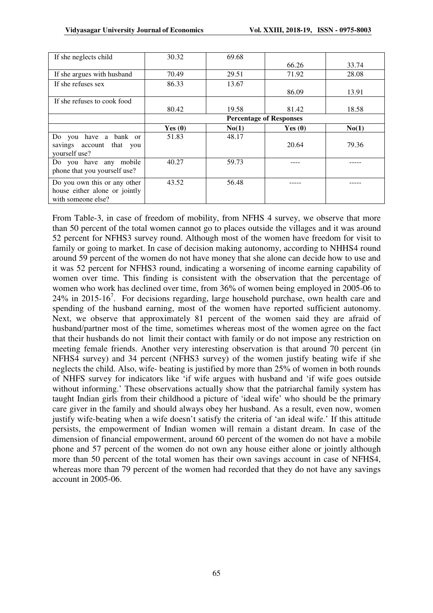| If she neglects child                                                               | 30.32     | 69.68 |                                |       |
|-------------------------------------------------------------------------------------|-----------|-------|--------------------------------|-------|
|                                                                                     |           |       | 66.26                          | 33.74 |
| If she argues with husband                                                          | 70.49     | 29.51 | 71.92                          | 28.08 |
| If she refuses sex                                                                  | 86.33     | 13.67 |                                |       |
|                                                                                     |           |       | 86.09                          | 13.91 |
| If she refuses to cook food                                                         |           |       |                                |       |
|                                                                                     | 80.42     | 19.58 | 81.42                          | 18.58 |
|                                                                                     |           |       | <b>Percentage of Responses</b> |       |
|                                                                                     | Yes $(0)$ | No(1) | Yes $(0)$                      | No(1) |
| have a<br>bank or<br>Do you<br>savings account that you<br>yourself use?            | 51.83     | 48.17 | 20.64                          | 79.36 |
| Do you have any mobile<br>phone that you yourself use?                              | 40.27     | 59.73 |                                |       |
| Do you own this or any other<br>house either alone or jointly<br>with someone else? | 43.52     | 56.48 |                                |       |

From Table-3, in case of freedom of mobility, from NFHS 4 survey, we observe that more than 50 percent of the total women cannot go to places outside the villages and it was around 52 percent for NFHS3 survey round. Although most of the women have freedom for visit to family or going to market. In case of decision making autonomy, according to NHHS4 round around 59 percent of the women do not have money that she alone can decide how to use and it was 52 percent for NFHS3 round, indicating a worsening of income earning capability of women over time. This finding is consistent with the observation that the percentage of women who work has declined over time, from 36% of women being employed in 2005-06 to  $24\%$  in 2015-16<sup>7</sup>. For decisions regarding, large household purchase, own health care and spending of the husband earning, most of the women have reported sufficient autonomy. Next, we observe that approximately 81 percent of the women said they are afraid of husband/partner most of the time, sometimes whereas most of the women agree on the fact that their husbands do not limit their contact with family or do not impose any restriction on meeting female friends. Another very interesting observation is that around 70 percent (in NFHS4 survey) and 34 percent (NFHS3 survey) of the women justify beating wife if she neglects the child. Also, wife- beating is justified by more than 25% of women in both rounds of NHFS survey for indicators like 'if wife argues with husband and 'if wife goes outside without informing.' These observations actually show that the patriarchal family system has taught Indian girls from their childhood a picture of 'ideal wife' who should be the primary care giver in the family and should always obey her husband. As a result, even now, women justify wife-beating when a wife doesn't satisfy the criteria of 'an ideal wife.' If this attitude persists, the empowerment of Indian women will remain a distant dream. In case of the dimension of financial empowerment, around 60 percent of the women do not have a mobile phone and 57 percent of the women do not own any house either alone or jointly although more than 50 percent of the total women has their own savings account in case of NFHS4, whereas more than 79 percent of the women had recorded that they do not have any savings account in 2005-06.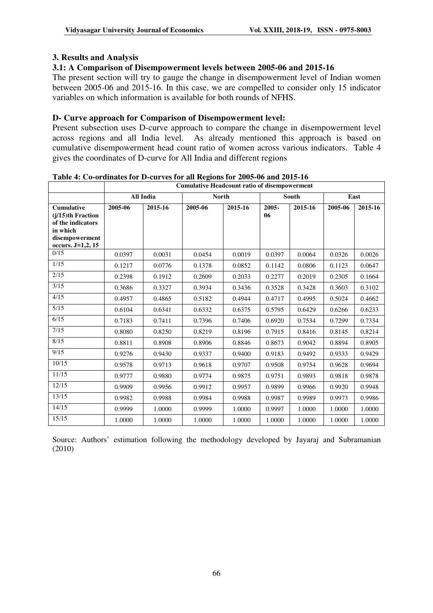# **3. Results and Analysis**

# **3.1: A Comparison of Disempowerment levels between 2005-06 and 2015-16**

The present section will try to gauge the change in disempowerment level of Indian women between 2005-06 and 2015-16. In this case, we are compelled to consider only 15 indicator variables on which information is available for both rounds of NFHS.

# **D- Curve approach for Comparison of Disempowerment level:**

Present subsection uses D-curve approach to compare the change in disempowerment level across regions and all India level. As already mentioned this approach is based on cumulative disempowerment head count ratio of women across various indicators. Table 4 gives the coordinates of D-curve for All India and different regions

|                                                                            |         |                  | <b>Cumulative Headcount ratio of disempowerment</b> |         |             |              |         |         |
|----------------------------------------------------------------------------|---------|------------------|-----------------------------------------------------|---------|-------------|--------------|---------|---------|
|                                                                            |         | <b>All India</b> | <b>North</b>                                        |         |             | <b>South</b> |         | East    |
| <b>Cumulative</b><br>$(i/15)$ th Fraction<br>of the indicators<br>in which | 2005-06 | 2015-16          | 2005-06                                             | 2015-16 | 2005-<br>06 | 2015-16      | 2005-06 | 2015-16 |
| disempowerment<br>occurs. J=1,2, 15                                        |         |                  |                                                     |         |             |              |         |         |
| 0/15                                                                       | 0.0397  | 0.0031           | 0.0454                                              | 0.0019  | 0.0397      | 0.0064       | 0.0326  | 0.0026  |
| 1/15                                                                       | 0.1217  | 0.0776           | 0.1378                                              | 0.0852  | 0.1142      | 0.0806       | 0.1123  | 0.0647  |
| 2/15                                                                       | 0.2398  | 0.1912           | 0.2609                                              | 0.2033  | 0.2277      | 0.2019       | 0.2305  | 0.1664  |
| 3/15                                                                       | 0.3686  | 0.3327           | 0.3934                                              | 0.3436  | 0.3528      | 0.3428       | 0.3603  | 0.3102  |
| 4/15                                                                       | 0.4957  | 0.4865           | 0.5182                                              | 0.4944  | 0.4717      | 0.4995       | 0.5024  | 0.4662  |
| 5/15                                                                       | 0.6104  | 0.6341           | 0.6332                                              | 0.6375  | 0.5795      | 0.6429       | 0.6266  | 0.6233  |
| 6/15                                                                       | 0.7183  | 0.7411           | 0.7396                                              | 0.7406  | 0.6920      | 0.7534       | 0.7299  | 0.7334  |
| 7/15                                                                       | 0.8080  | 0.8250           | 0.8219                                              | 0.8196  | 0.7915      | 0.8416       | 0.8145  | 0.8214  |
| 8/15                                                                       | 0.8811  | 0.8908           | 0.8906                                              | 0.8846  | 0.8673      | 0.9042       | 0.8894  | 0.8905  |
| 9/15                                                                       | 0.9276  | 0.9430           | 0.9337                                              | 0.9400  | 0.9183      | 0.9492       | 0.9333  | 0.9429  |
| 10/15                                                                      | 0.9578  | 0.9713           | 0.9618                                              | 0.9707  | 0.9508      | 0.9754       | 0.9628  | 0.9694  |
| 11/15                                                                      | 0.9777  | 0.9880           | 0.9774                                              | 0.9875  | 0.9751      | 0.9893       | 0.9818  | 0.9878  |
| 12/15                                                                      | 0.9909  | 0.9956           | 0.9912                                              | 0.9957  | 0.9899      | 0.9966       | 0.9920  | 0.9948  |
| 13/15                                                                      | 0.9982  | 0.9988           | 0.9984                                              | 0.9988  | 0.9987      | 0.9989       | 0.9973  | 0.9986  |
| 14/15                                                                      | 0.9999  | 1.0000           | 0.9999                                              | 1.0000  | 0.9997      | 1.0000       | 1.0000  | 1.0000  |
| 15/15                                                                      | 1.0000  | 1.0000           | 1.0000                                              | 1.0000  | 1.0000      | 1.0000       | 1.0000  | 1.0000  |

# **Table 4: Co-ordinates for D-curves for all Regions for 2005-06 and 2015-16**

Source: Authors' estimation following the methodology developed by Jayaraj and Subramanian (2010)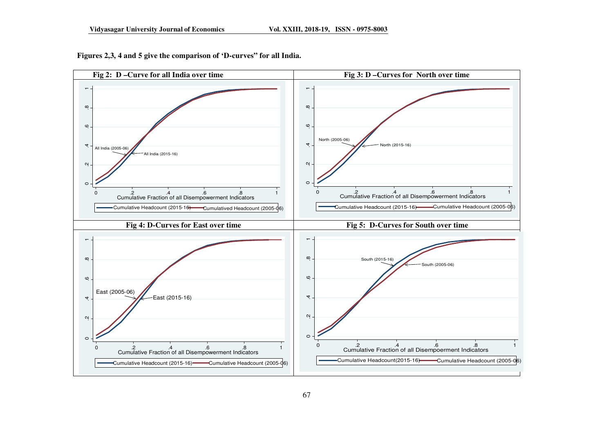

**Figures 2,3, 4 and 5 give the comparison of 'D-curves" for all India.**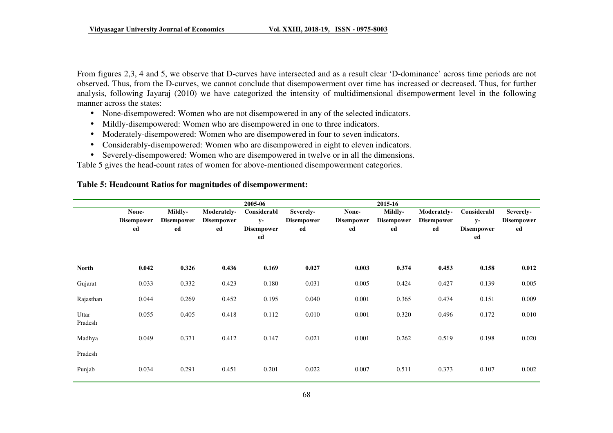From figures 2,3, 4 and 5, we observe that D-curves have intersected and as a result clear 'D-dominance' across time periods are not observed. Thus, from the D-curves, we cannot conclude that disempowerment over time has increased or decreased. Thus, for further analysis, following Jayaraj (2010) we have categorized the intensity of multidimensional disempowerment level in the following manner across the states:

- None-disempowered: Women who are not disempowered in any of the selected indicators.
- Mildly-disempowered: Women who are disempowered in one to three indicators.
- •Moderately-disempowered: Women who are disempowered in four to seven indicators.
- Considerably-disempowered: Women who are disempowered in eight to eleven indicators.
- Severely-disempowered: Women who are disempowered in twelve or in all the dimensions.

Table 5 gives the head-count rates of women for above-mentioned disempowerment categories.

#### **Table 5: Headcount Ratios for magnitudes of disempowerment:**

|                  |                   | 2005-06<br>2015-16 |                   |                         |                   |                   |                   |                   |                         |                   |
|------------------|-------------------|--------------------|-------------------|-------------------------|-------------------|-------------------|-------------------|-------------------|-------------------------|-------------------|
|                  | None-             | Mildly-            | Moderately-       | Considerabl             | Severely-         | None-             | <b>Mildly-</b>    | Moderately-       | Considerabl             | Severely-         |
|                  | <b>Disempower</b> | <b>Disempower</b>  | <b>Disempower</b> | $y-$                    | <b>Disempower</b> | <b>Disempower</b> | <b>Disempower</b> | <b>Disempower</b> | $y-$                    | <b>Disempower</b> |
|                  | ed                | ed                 | ed                | <b>Disempower</b><br>ed | ed                | ed                | ed                | ed                | <b>Disempower</b><br>ed | ed                |
| <b>North</b>     | 0.042             | 0.326              | 0.436             | 0.169                   | 0.027             | 0.003             | 0.374             | 0.453             | 0.158                   | 0.012             |
| Gujarat          | 0.033             | 0.332              | 0.423             | 0.180                   | 0.031             | 0.005             | 0.424             | 0.427             | 0.139                   | 0.005             |
| Rajasthan        | 0.044             | 0.269              | 0.452             | 0.195                   | 0.040             | 0.001             | 0.365             | 0.474             | 0.151                   | 0.009             |
| Uttar<br>Pradesh | 0.055             | 0.405              | 0.418             | 0.112                   | 0.010             | 0.001             | 0.320             | 0.496             | 0.172                   | 0.010             |
| Madhya           | 0.049             | 0.371              | 0.412             | 0.147                   | 0.021             | 0.001             | 0.262             | 0.519             | 0.198                   | 0.020             |
| Pradesh          |                   |                    |                   |                         |                   |                   |                   |                   |                         |                   |
| Punjab           | 0.034             | 0.291              | 0.451             | 0.201                   | 0.022             | 0.007             | 0.511             | 0.373             | 0.107                   | 0.002             |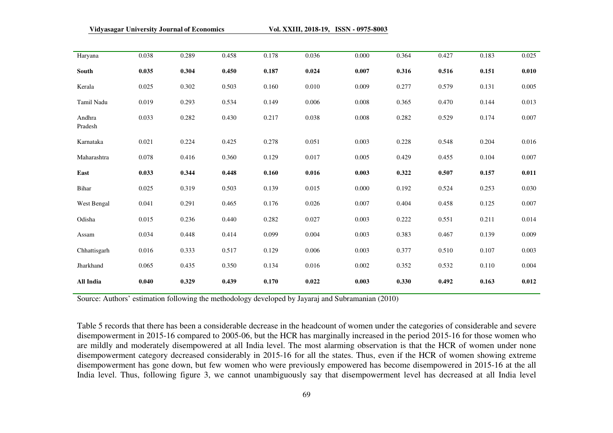| Haryana           | 0.038 | 0.289 | 0.458 | 0.178 | 0.036 | 0.000 | 0.364 | 0.427 | 0.183 | 0.025     |
|-------------------|-------|-------|-------|-------|-------|-------|-------|-------|-------|-----------|
| South             | 0.035 | 0.304 | 0.450 | 0.187 | 0.024 | 0.007 | 0.316 | 0.516 | 0.151 | 0.010     |
| Kerala            | 0.025 | 0.302 | 0.503 | 0.160 | 0.010 | 0.009 | 0.277 | 0.579 | 0.131 | 0.005     |
| Tamil Nadu        | 0.019 | 0.293 | 0.534 | 0.149 | 0.006 | 0.008 | 0.365 | 0.470 | 0.144 | 0.013     |
| Andhra<br>Pradesh | 0.033 | 0.282 | 0.430 | 0.217 | 0.038 | 0.008 | 0.282 | 0.529 | 0.174 | 0.007     |
| Karnataka         | 0.021 | 0.224 | 0.425 | 0.278 | 0.051 | 0.003 | 0.228 | 0.548 | 0.204 | 0.016     |
| Maharashtra       | 0.078 | 0.416 | 0.360 | 0.129 | 0.017 | 0.005 | 0.429 | 0.455 | 0.104 | 0.007     |
| East              | 0.033 | 0.344 | 0.448 | 0.160 | 0.016 | 0.003 | 0.322 | 0.507 | 0.157 | 0.011     |
| Bihar             | 0.025 | 0.319 | 0.503 | 0.139 | 0.015 | 0.000 | 0.192 | 0.524 | 0.253 | 0.030     |
| West Bengal       | 0.041 | 0.291 | 0.465 | 0.176 | 0.026 | 0.007 | 0.404 | 0.458 | 0.125 | $0.007\,$ |
| Odisha            | 0.015 | 0.236 | 0.440 | 0.282 | 0.027 | 0.003 | 0.222 | 0.551 | 0.211 | 0.014     |
| Assam             | 0.034 | 0.448 | 0.414 | 0.099 | 0.004 | 0.003 | 0.383 | 0.467 | 0.139 | 0.009     |
| Chhattisgarh      | 0.016 | 0.333 | 0.517 | 0.129 | 0.006 | 0.003 | 0.377 | 0.510 | 0.107 | 0.003     |
| Jharkhand         | 0.065 | 0.435 | 0.350 | 0.134 | 0.016 | 0.002 | 0.352 | 0.532 | 0.110 | 0.004     |
| All India         | 0.040 | 0.329 | 0.439 | 0.170 | 0.022 | 0.003 | 0.330 | 0.492 | 0.163 | 0.012     |

Source: Authors' estimation following the methodology developed by Jayaraj and Subramanian (2010)

Table 5 records that there has been a considerable decrease in the headcount of women under the categories of considerable and severe disempowerment in 2015-16 compared to 2005-06, but the HCR has marginally increased in the period 2015-16 for those women who are mildly and moderately disempowered at all India level. The most alarming observation is that the HCR of women under none disempowerment category decreased considerably in 2015-16 for all the states. Thus, even if the HCR of women showing extreme disempowerment has gone down, but few women who were previously empowered has become disempowered in 2015-16 at the all India level. Thus, following figure 3, we cannot unambiguously say that disempowerment level has decreased at all India level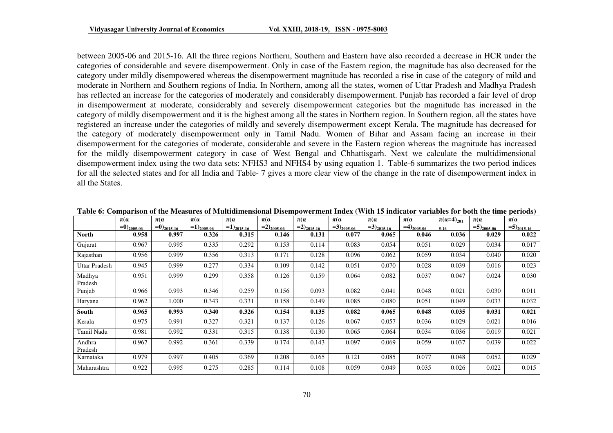between 2005-06 and 2015-16. All the three regions Northern, Southern and Eastern have also recorded a decrease in HCR under the categories of considerable and severe disempowerment. Only in case of the Eastern region, the magnitude has also decreased for the category under mildly disempowered whereas the disempowerment magnitude has recorded a rise in case of the category of mild and moderate in Northern and Southern regions of India. In Northern, among all the states, women of Uttar Pradesh and Madhya Pradesh has reflected an increase for the categories of moderately and considerably disempowerment. Punjab has recorded a fair level of drop in disempowerment at moderate, considerably and severely disempowerment categories but the magnitude has increased in the category of mildly disempowerment and it is the highest among all the states in Northern region. In Southern region, all the states have registered an increase under the categories of mildly and severely disempowerment except Kerala. The magnitude has decreased for the category of moderately disempowerment only in Tamil Nadu. Women of Bihar and Assam facing an increase in their disempowerment for the categories of moderate, considerable and severe in the Eastern region whereas the magnitude has increased for the mildly disempowerment category in case of West Bengal and Chhattisgarh. Next we calculate the multidimensional disempowerment index using the two data sets: NFHS3 and NFHS4 by using equation 1. Table-6 summarizes the two period indices for all the selected states and for all India and Table- 7 gives a more clear view of the change in the rate of disempowerment index in all the States.

|                   | $\pi(\alpha)$   | $\pi(\alpha)$   | $\pi(\alpha)$   | $\pi(\alpha)$   | $\pi(\alpha)$            | $\pi(\alpha)$    | $\pi(\alpha)$   | $\pi(\alpha)$   | $\pi(\alpha)$   | $\pi(\alpha=4)_{201}$ | $\pi(\alpha)$   | $\pi(\alpha)$            |
|-------------------|-----------------|-----------------|-----------------|-----------------|--------------------------|------------------|-----------------|-----------------|-----------------|-----------------------|-----------------|--------------------------|
|                   | $=0)_{2005-06}$ | $=0)_{2015-16}$ | $=1)_{2005-06}$ | $=1)_{2015-16}$ | $=2)$ <sub>2005-06</sub> | $= 2)_{2015-16}$ | $=3)_{2005-06}$ | $=3)_{2015-16}$ | $=4)_{2005-06}$ | $5-16$                | $=5)_{2005-06}$ | $=5)$ <sub>2015-16</sub> |
| North             | 0.958           | 0.997           | 0.326           | 0.315           | 0.146                    | 0.131            | 0.077           | 0.065           | 0.046           | 0.036                 | 0.029           | 0.022                    |
| Gujarat           | 0.967           | 0.995           | 0.335           | 0.292           | 0.153                    | 0.114            | 0.083           | 0.054           | 0.051           | 0.029                 | 0.034           | 0.017                    |
| Rajasthan         | 0.956           | 0.999           | 0.356           | 0.313           | 0.171                    | 0.128            | 0.096           | 0.062           | 0.059           | 0.034                 | 0.040           | 0.020                    |
| Uttar Pradesh     | 0.945           | 0.999           | 0.277           | 0.334           | 0.109                    | 0.142            | 0.051           | 0.070           | 0.028           | 0.039                 | 0.016           | 0.023                    |
| Madhya<br>Pradesh | 0.951           | 0.999           | 0.299           | 0.358           | 0.126                    | 0.159            | 0.064           | 0.082           | 0.037           | 0.047                 | 0.024           | 0.030                    |
| Punjab            | 0.966           | 0.993           | 0.346           | 0.259           | 0.156                    | 0.093            | 0.082           | 0.041           | 0.048           | 0.021                 | 0.030           | 0.011                    |
| Haryana           | 0.962           | 1.000           | 0.343           | 0.331           | 0.158                    | 0.149            | 0.085           | 0.080           | 0.051           | 0.049                 | 0.033           | 0.032                    |
| South             | 0.965           | 0.993           | 0.340           | 0.326           | 0.154                    | 0.135            | 0.082           | 0.065           | 0.048           | 0.035                 | 0.031           | 0.021                    |
| Kerala            | 0.975           | 0.991           | 0.327           | 0.321           | 0.137                    | 0.126            | 0.067           | 0.057           | 0.036           | 0.029                 | 0.021           | 0.016                    |
| Tamil Nadu        | 0.981           | 0.992           | 0.331           | 0.315           | 0.138                    | 0.130            | 0.065           | 0.064           | 0.034           | 0.036                 | 0.019           | 0.021                    |
| Andhra<br>Pradesh | 0.967           | 0.992           | 0.361           | 0.339           | 0.174                    | 0.143            | 0.097           | 0.069           | 0.059           | 0.037                 | 0.039           | 0.022                    |
| Karnataka         | 0.979           | 0.997           | 0.405           | 0.369           | 0.208                    | 0.165            | 0.121           | 0.085           | 0.077           | 0.048                 | 0.052           | 0.029                    |
| Maharashtra       | 0.922           | 0.995           | 0.275           | 0.285           | 0.114                    | 0.108            | 0.059           | 0.049           | 0.035           | 0.026                 | 0.022           | 0.015                    |

**Table 6: Comparison of the Measures of Multidimensional Disempowerment Index (With 15 indicator variables for both the time periods)**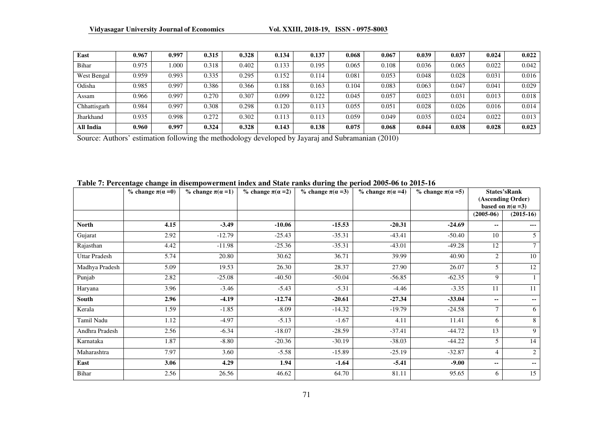| East         | 0.967 | 0.997 | 0.315 | 0.328 | 0.134 | 0.137 | 0.068 | 0.067 | 0.039 | 0.037 | 0.024 | 0.022 |
|--------------|-------|-------|-------|-------|-------|-------|-------|-------|-------|-------|-------|-------|
| Bihar        | 0.975 | .000  | 0.318 | 0.402 | 0.133 | 0.195 | 0.065 | 0.108 | 0.036 | 0.065 | 0.022 | 0.042 |
| West Bengal  | 0.959 | 0.993 | 0.335 | 0.295 | 0.152 | 0.114 | 0.081 | 0.053 | 0.048 | 0.028 | 0.031 | 0.016 |
| Odisha       | 0.985 | 0.997 | 0.386 | 0.366 | 0.188 | 0.163 | 0.104 | 0.083 | 0.063 | 0.047 | 0.041 | 0.029 |
| Assam        | 0.966 | 0.997 | 0.270 | 0.307 | 0.099 | 0.122 | 0.045 | 0.057 | 0.023 | 0.031 | 0.013 | 0.018 |
| Chhattisgarh | 0.984 | 0.997 | 0.308 | 0.298 | 0.120 | 0.113 | 0.055 | 0.051 | 0.028 | 0.026 | 0.016 | 0.014 |
| Jharkhand    | 0.935 | 0.998 | 0.272 | 0.302 | 0.113 | 0.113 | 0.059 | 0.049 | 0.035 | 0.024 | 0.022 | 0.013 |
| All India    | 0.960 | 0.997 | 0.324 | 0.328 | 0.143 | 0.138 | 0.075 | 0.068 | 0.044 | 0.038 | 0.028 | 0.023 |

Source: Authors' estimation following the methodology developed by Jayaraj and Subramanian (2010)

|                      | % change $\pi(\alpha=0)$ | % change $\pi(\alpha=1)$ | % change $\pi(\alpha=2)$ | % change $\pi(\alpha=3)$ | % change $\pi(\alpha=4)$ | % change $\pi(\alpha=5)$ |                | <b>States'sRank</b><br>(Ascending Order)<br>based on $\pi(\alpha=3)$ |
|----------------------|--------------------------|--------------------------|--------------------------|--------------------------|--------------------------|--------------------------|----------------|----------------------------------------------------------------------|
|                      |                          |                          |                          |                          |                          |                          | $(2005-06)$    | $(2015-16)$                                                          |
| <b>North</b>         | 4.15                     | $-3.49$                  | $-10.06$                 | $-15.53$                 | $-20.31$                 | $-24.69$                 | ۰.             | $---$                                                                |
| Gujarat              | 2.92                     | $-12.79$                 | $-25.43$                 | $-35.31$                 | $-43.41$                 | $-50.40$                 | 10             | 5 <sup>5</sup>                                                       |
| Rajasthan            | 4.42                     | $-11.98$                 | $-25.36$                 | $-35.31$                 | $-43.01$                 | $-49.28$                 | 12             | $\tau$                                                               |
| <b>Uttar Pradesh</b> | 5.74                     | 20.80                    | 30.62                    | 36.71                    | 39.99                    | 40.90                    | $\overline{2}$ | 10                                                                   |
| Madhya Pradesh       | 5.09                     | 19.53                    | 26.30                    | 28.37                    | 27.90                    | 26.07                    | 5              | 12                                                                   |
| Punjab               | 2.82                     | $-25.08$                 | $-40.50$                 | $-50.04$                 | $-56.85$                 | $-62.35$                 | 9              |                                                                      |
| Haryana              | 3.96                     | $-3.46$                  | $-5.43$                  | $-5.31$                  | $-4.46$                  | $-3.35$                  | 11             | 11                                                                   |
| South                | 2.96                     | $-4.19$                  | $-12.74$                 | $-20.61$                 | $-27.34$                 | $-33.04$                 | --             | $\overline{\phantom{a}}$                                             |
| Kerala               | 1.59                     | $-1.85$                  | $-8.09$                  | $-14.32$                 | $-19.79$                 | $-24.58$                 | $\tau$         | 6                                                                    |
| Tamil Nadu           | 1.12                     | $-4.97$                  | $-5.13$                  | $-1.67$                  | 4.11                     | 11.41                    | 6              | 8                                                                    |
| Andhra Pradesh       | 2.56                     | $-6.34$                  | $-18.07$                 | $-28.59$                 | $-37.41$                 | $-44.72$                 | 13             | 9                                                                    |
| Karnataka            | 1.87                     | $-8.80$                  | $-20.36$                 | $-30.19$                 | $-38.03$                 | $-44.22$                 | 5              | 14                                                                   |
| Maharashtra          | 7.97                     | 3.60                     | $-5.58$                  | $-15.89$                 | $-25.19$                 | $-32.87$                 | 4              | 2                                                                    |
| East                 | 3.06                     | 4.29                     | 1.94                     | $-1.64$                  | $-5.41$                  | $-9.00$                  | --             | $\sim$ $\sim$                                                        |
| Bihar                | 2.56                     | 26.56                    | 46.62                    | 64.70                    | 81.11                    | 95.65                    | 6              | 15                                                                   |

#### **Table 7: Percentage change in disempowerment index and State ranks during the period 2005-06 to 2015-16**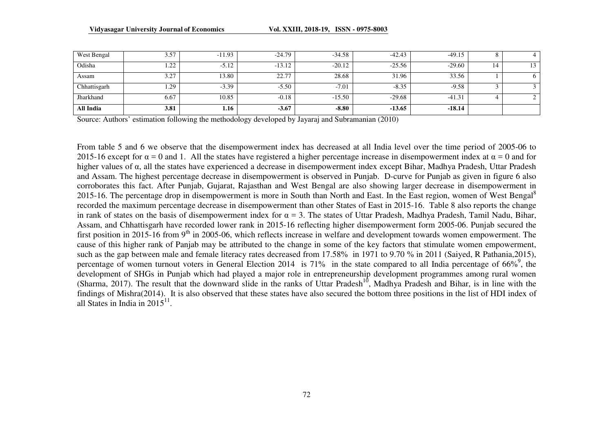| West Bengal  | 3.57                 | $-11.93$ | $-24.79$ | $-34.58$ | $-42.43$ | $-49.15$ | $\circ$<br>$\circ$ | 4        |
|--------------|----------------------|----------|----------|----------|----------|----------|--------------------|----------|
| Odisha       | ററ<br>$\overline{1}$ | $-5.12$  | $-13.12$ | $-20.12$ | $-25.56$ | $-29.60$ | 14                 | 13       |
| Assam        | 3.27                 | 13.80    | 22.77    | 28.68    | 31.96    | 33.56    |                    | $\sigma$ |
| Chhattisgarh | 1.29                 | $-3.39$  | $-5.50$  | $-7.01$  | $-8.35$  | $-9.58$  | ◡                  |          |
| Jharkhand    | 6.67                 | 10.85    | $-0.18$  | $-15.50$ | $-29.68$ | $-41.31$ |                    |          |
| All India    | 3.81                 | 1.16     | $-3.67$  | $-8.80$  | $-13.65$ | $-18.14$ |                    |          |

Source: Authors' estimation following the methodology developed by Jayaraj and Subramanian (2010)

From table 5 and 6 we observe that the disempowerment index has decreased at all India level over the time period of 2005-06 to 2015-16 except for  $\alpha = 0$  and 1. All the states have registered a higher percentage increase in disempowerment index at  $\alpha = 0$  and for higher values of <sup>α</sup>, all the states have experienced a decrease in disempowerment index except Bihar, Madhya Pradesh, Uttar Pradesh and Assam. The highest percentage decrease in disempowerment is observed in Punjab. D-curve for Punjab as given in figure 6 also corroborates this fact. After Punjab, Gujarat, Rajasthan and West Bengal are also showing larger decrease in disempowerment in 2015-16. The percentage drop in disempowerment is more in South than North and East. In the East region, women of West Bengal<sup>8</sup> recorded the maximum percentage decrease in disempowerment than other States of East in 2015-16. Table 8 also reports the change in rank of states on the basis of disempowerment index for  $\alpha = 3$ . The states of Uttar Pradesh, Madhya Pradesh, Tamil Nadu, Bihar, Assam, and Chhattisgarh have recorded lower rank in 2015-16 reflecting higher disempowerment form 2005-06. Punjab secured the first position in 2015-16 from 9<sup>th</sup> in 2005-06, which reflects increase in welfare and development towards women empowerment. The cause of this higher rank of Panjab may be attributed to the change in some of the key factors that stimulate women empowerment, such as the gap between male and female literacy rates decreased from 17.58% in 1971 to 9.70 % in 2011 (Saiyed, R Pathania,2015), percentage of women turnout voters in General Election 2014 is 71% in the state compared to all India percentage of  $66\%$ , the development of SHGs in Punjab which had played a major role in entrepreneurship development programmes among rural women (Sharma, 2017). The result that the downward slide in the ranks of Uttar Pradesh<sup>10</sup>, Madhya Pradesh and Bihar, is in line with the findings of Mishra(2014). It is also observed that these states have also secured the bottom three positions in the list of HDI index of all States in India in  $2015^{11}$ .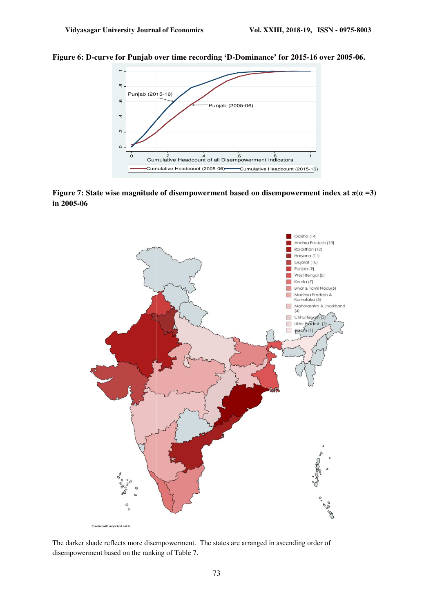

#### Figure 6: D-curve for Punjab over time recording 'D-Dominance' for 2015-16 over 2005-06.





The darker shade reflects more disempowerment. The states are arranged in ascending order of disempowerment based on the ranking of Table 7.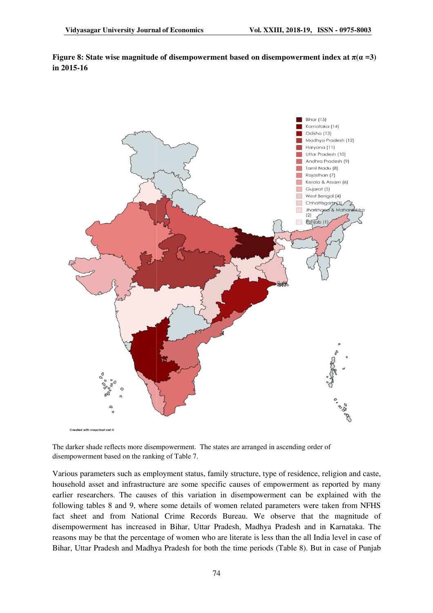**Figure 8: State wise magnitude of disempowerment based on disempowerment index at**  $\pi(\alpha = 3)$ **in 2015-16**



The darker shade reflects more disempowerment. The states are arranged in ascending order of disempowerment based on the ranking of Table 7.

Various parameters such as employment status, family structure, type of residence, religion and caste, household asset and infrastructure are some specific causes of empowerment as reported by many earlier researchers. The causes of this variation in disempowerment can be explained with the following tables 8 and 9, where some details of women related parameters were taken from NFHS fact sheet and from National Crime Records Bureau. We observe that the magnitude of disempowerment has increased in Bihar, Uttar Pradesh, Madhya Pradesh and in Karnataka. The following tables 8 and 9, where some details of women related parameters were taken from NFHS<br>fact sheet and from National Crime Records Bureau. We observe that the magnitude of<br>disempowerment has increased in Bihar, Uttar Bihar, Uttar Pradesh and Madhya Pradesh for both the time periods (Table 8). But in case of Punjab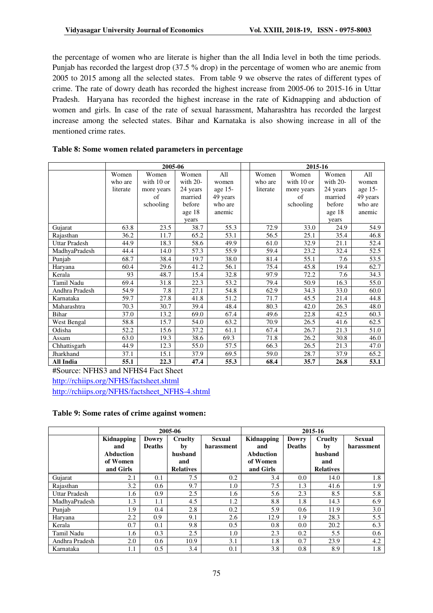the percentage of women who are literate is higher than the all India level in both the time periods. Punjab has recorded the largest drop (37.5 % drop) in the percentage of women who are anemic from 2005 to 2015 among all the selected states. From table 9 we observe the rates of different types of crime. The rate of dowry death has recorded the highest increase from 2005-06 to 2015-16 in Uttar Pradesh. Haryana has recorded the highest increase in the rate of Kidnapping and abduction of women and girls. In case of the rate of sexual harassment, Maharashtra has recorded the largest increase among the selected states. Bihar and Karnataka is also showing increase in all of the mentioned crime rates.

|                      | 2005-06  |            |          |          |  | 2015-16  |            |            |          |  |
|----------------------|----------|------------|----------|----------|--|----------|------------|------------|----------|--|
|                      | Women    | Women      | Women    | All      |  | Women    | Women      | Women      | All      |  |
|                      | who are  | with 10 or | with 20- | women    |  | who are  | with 10 or | with $20-$ | women    |  |
|                      | literate | more years | 24 years | age 15-  |  | literate | more years | 24 years   | age 15-  |  |
|                      |          | of         | married  | 49 years |  |          | of         | married    | 49 years |  |
|                      |          | schooling  | before   | who are  |  |          | schooling  | before     | who are  |  |
|                      |          |            | age 18   | anemic   |  |          |            | age 18     | anemic   |  |
|                      |          |            | years    |          |  |          |            | years      |          |  |
| Gujarat              | 63.8     | 23.5       | 38.7     | 55.3     |  | 72.9     | 33.0       | 24.9       | 54.9     |  |
| Rajasthan            | 36.2     | 11.7       | 65.2     | 53.1     |  | 56.5     | 25.1       | 35.4       | 46.8     |  |
| <b>Uttar Pradesh</b> | 44.9     | 18.3       | 58.6     | 49.9     |  | 61.0     | 32.9       | 21.1       | 52.4     |  |
| MadhyaPradesh        | 44.4     | 14.0       | 57.3     | 55.9     |  | 59.4     | 23.2       | 32.4       | 52.5     |  |
| Punjab               | 68.7     | 38.4       | 19.7     | 38.0     |  | 81.4     | 55.1       | 7.6        | 53.5     |  |
| Haryana              | 60.4     | 29.6       | 41.2     | 56.1     |  | 75.4     | 45.8       | 19.4       | 62.7     |  |
| Kerala               | 93       | 48.7       | 15.4     | 32.8     |  | 97.9     | 72.2       | 7.6        | 34.3     |  |
| Tamil Nadu           | 69.4     | 31.8       | 22.3     | 53.2     |  | 79.4     | 50.9       | 16.3       | 55.0     |  |
| Andhra Pradesh       | 54.9     | 7.8        | 27.1     | 54.8     |  | 62.9     | 34.3       | 33.0       | 60.0     |  |
| Karnataka            | 59.7     | 27.8       | 41.8     | 51.2     |  | 71.7     | 45.5       | 21.4       | 44.8     |  |
| Maharashtra          | 70.3     | 30.7       | 39.4     | 48.4     |  | 80.3     | 42.0       | 26.3       | 48.0     |  |
| Bihar                | 37.0     | 13.2       | 69.0     | 67.4     |  | 49.6     | 22.8       | 42.5       | 60.3     |  |
| West Bengal          | 58.8     | 15.7       | 54.0     | 63.2     |  | 70.9     | 26.5       | 41.6       | 62.5     |  |
| Odisha               | 52.2     | 15.6       | 37.2     | 61.1     |  | 67.4     | 26.7       | 21.3       | 51.0     |  |
| Assam                | 63.0     | 19.3       | 38.6     | 69.3     |  | 71.8     | 26.2       | 30.8       | 46.0     |  |
| Chhattisgarh         | 44.9     | 12.3       | 55.0     | 57.5     |  | 66.3     | 26.5       | 21.3       | 47.0     |  |
| Jharkhand            | 37.1     | 15.1       | 37.9     | 69.5     |  | 59.0     | 28.7       | 37.9       | 65.2     |  |
| All India            | 55.1     | 22.3       | 47.4     | 55.3     |  | 68.4     | 35.7       | 26.8       | 53.1     |  |

#### **Table 8: Some women related parameters in percentage**

#Source: NFHS3 and NFHS4 Fact Sheet http://rchiips.org/NFHS/factsheet.shtml

http://rchiips.org/NFHS/factsheet\_NFHS-4.shtml

#### **Table 9: Some rates of crime against women:**

|                |                     | 2005-06          |                          | 2015-16    |                  |               |                  |               |
|----------------|---------------------|------------------|--------------------------|------------|------------------|---------------|------------------|---------------|
|                | Kidnapping<br>Dowry |                  | Cruelty<br><b>Sexual</b> |            | Kidnapping       | Dowry         | Cruelty          | <b>Sexual</b> |
|                | and                 | <b>Deaths</b>    | by                       | harassment | and              | <b>Deaths</b> | by               | harassment    |
|                | Abduction           |                  | husband                  |            | <b>Abduction</b> |               | husband          |               |
|                | of Women            |                  | and                      |            | of Women         |               | and              |               |
|                | and Girls           |                  | <b>Relatives</b>         |            | and Girls        |               | <b>Relatives</b> |               |
| Gujarat        | 2.1                 | 0.1              | 7.5                      | 0.2        | 3.4              | $0.0\,$       | 14.0             | 1.8           |
| Rajasthan      | 3.2                 | 0.6              | 9.7                      | 1.0        | 7.5              | 1.3           | 41.6             | 1.9           |
| Uttar Pradesh  | 1.6                 | 0.9              | 2.5                      | 1.6        | 5.6              | 2.3           | 8.5              | 5.8           |
| MadhvaPradesh  | 1.3                 | 1.1              | 4.5                      | 1.2        | 8.8              | 1.8           | 14.3             | 6.9           |
| Punjab         | 1.9                 | 0.4              | 2.8                      | 0.2        | 5.9              | 0.6           | 11.9             | 3.0           |
| Harvana        | 2.2                 | 0.9              | 9.1                      | 2.6        | 12.9             | 1.9           | 28.3             | 5.5           |
| Kerala         | 0.7                 | 0.1              | 9.8                      | 0.5        | 0.8              | 0.0           | 20.2             | 6.3           |
| Tamil Nadu     | 1.6                 | 0.3              | 2.5                      | 1.0        | 2.3              | 0.2           | 5.5              | 0.6           |
| Andhra Pradesh | 2.0                 | 0.6 <sub>1</sub> | 10.9                     | 3.1        | 1.8              | 0.7           | 23.9             | 4.2           |
| Karnataka      | 1.1                 | 0.5              | 3.4                      | 0.1        | 3.8              | 0.8           | 8.9              | 1.8           |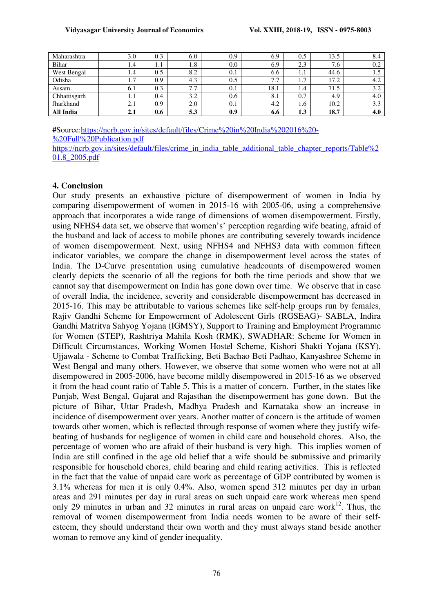| Maharashtra  | 3.0                   | 0.3 | 6.0               | 0.9 | 6.9  | 0.5                   | 13.5                | 8.4 |
|--------------|-----------------------|-----|-------------------|-----|------|-----------------------|---------------------|-----|
| Bihar        | 1.4                   | 1.1 | 1.8               | 0.0 | 6.9  | 2.3                   | $\mathbf{r}$<br>7.6 | 0.2 |
| West Bengal  | 1.4                   | 0.5 | 8.2               | 0.1 | 6.6  | 1.1                   | 44.6                | 1.J |
| Odisha       | $\overline{ }$<br>1.7 | 0.9 | 4.3               | 0.5 | 7.7  | $\overline{ }$<br>1., | l7.2                | 4.2 |
| Assam        | 6. J                  | 0.3 | 77<br>$\sqrt{11}$ | 0.1 | 18.1 | 1.4                   | 71.5                | 3.2 |
| Chhattisgarh | 1.1                   | 0.4 | 3.2               | 0.6 | 8.1  | 0.7                   | 4.9                 | 4.0 |
| Jharkhand    | 2.1                   | 0.9 | 2.0               | 0.1 | 4.2  | 1.6                   | 10.2                | 3.3 |
| All India    | 2.1                   | 0.6 | 5.3               | 0.9 | 6.6  | 1.3                   | 18.7                | 4.0 |

**#**Source:https://ncrb.gov.in/sites/default/files/Crime%20in%20India%202016%20- %20Full%20Publication.pdf

https://ncrb.gov.in/sites/default/files/crime\_in\_india\_table\_additional\_table\_chapter\_reports/Table%2 01.8\_2005.pdf

#### **4. Conclusion**

Our study presents an exhaustive picture of disempowerment of women in India by comparing disempowerment of women in 2015-16 with 2005-06, using a comprehensive approach that incorporates a wide range of dimensions of women disempowerment. Firstly, using NFHS4 data set, we observe that women's' perception regarding wife beating, afraid of the husband and lack of access to mobile phones are contributing severely towards incidence of women disempowerment. Next, using NFHS4 and NFHS3 data with common fifteen indicator variables, we compare the change in disempowerment level across the states of India. The D-Curve presentation using cumulative headcounts of disempowered women clearly depicts the scenario of all the regions for both the time periods and show that we cannot say that disempowerment on India has gone down over time. We observe that in case of overall India, the incidence, severity and considerable disempowerment has decreased in 2015-16. This may be attributable to various schemes like self-help groups run by females, Rajiv Gandhi Scheme for Empowerment of Adolescent Girls (RGSEAG)- SABLA, Indira Gandhi Matritva Sahyog Yojana (IGMSY), Support to Training and Employment Programme for Women (STEP), Rashtriya Mahila Kosh (RMK), SWADHAR: Scheme for Women in Difficult Circumstances, Working Women Hostel Scheme, Kishori Shakti Yojana (KSY), Ujjawala - Scheme to Combat Trafficking, Beti Bachao Beti Padhao, Kanyashree Scheme in West Bengal and many others. However, we observe that some women who were not at all disempowered in 2005-2006, have become mildly disempowered in 2015-16 as we observed it from the head count ratio of Table 5. This is a matter of concern. Further, in the states like Punjab, West Bengal, Gujarat and Rajasthan the disempowerment has gone down. But the picture of Bihar, Uttar Pradesh, Madhya Pradesh and Karnataka show an increase in incidence of disempowerment over years. Another matter of concern is the attitude of women towards other women, which is reflected through response of women where they justify wifebeating of husbands for negligence of women in child care and household chores. Also, the percentage of women who are afraid of their husband is very high. This implies women of India are still confined in the age old belief that a wife should be submissive and primarily responsible for household chores, child bearing and child rearing activities. This is reflected in the fact that the value of unpaid care work as percentage of GDP contributed by women is 3.1% whereas for men it is only 0.4%. Also, women spend 312 minutes per day in urban areas and 291 minutes per day in rural areas on such unpaid care work whereas men spend only 29 minutes in urban and 32 minutes in rural areas on unpaid care work $^{12}$ . Thus, the removal of women disempowerment from India needs women to be aware of their selfesteem, they should understand their own worth and they must always stand beside another woman to remove any kind of gender inequality.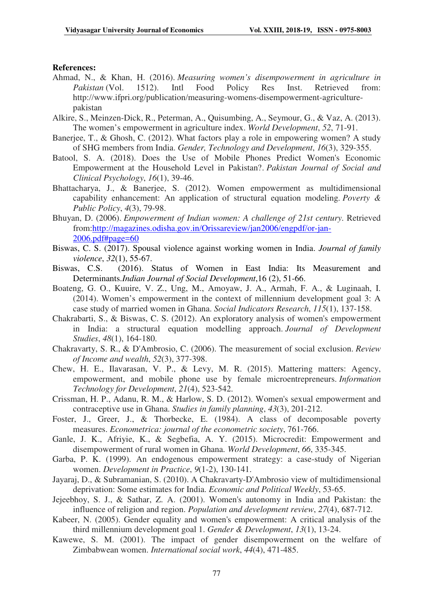### **References:**

- Ahmad, N., & Khan, H. (2016). *Measuring women's disempowerment in agriculture in Pakistan* (Vol. 1512). Intl Food Policy Res Inst. Retrieved from: http://www.ifpri.org/publication/measuring-womens-disempowerment-agriculturepakistan
- Alkire, S., Meinzen-Dick, R., Peterman, A., Quisumbing, A., Seymour, G., & Vaz, A. (2013). The women's empowerment in agriculture index. *World Development*, *52*, 71-91.
- Banerjee, T., & Ghosh, C. (2012). What factors play a role in empowering women? A study of SHG members from India. *Gender, Technology and Development*, *16*(3), 329-355.
- Batool, S. A. (2018). Does the Use of Mobile Phones Predict Women's Economic Empowerment at the Household Level in Pakistan?. *Pakistan Journal of Social and Clinical Psychology*, *16*(1), 39-46.
- Bhattacharya, J., & Banerjee, S. (2012). Women empowerment as multidimensional capability enhancement: An application of structural equation modeling. *Poverty & Public Policy*, *4*(3), 79-98.
- Bhuyan, D. (2006). *Empowerment of Indian women: A challenge of 21st century*. Retrieved from:http://magazines.odisha.gov.in/Orissareview/jan2006/engpdf/or-jan-2006.pdf#page=60
- Biswas, C. S. (2017). Spousal violence against working women in India. *Journal of family violence*, *32*(1), 55-67.
- Biswas, C.S. (2016). Status of Women in East India: Its Measurement and Determinants.*Indian Journal of Social Development*,16 (2), 51-66.
- Boateng, G. O., Kuuire, V. Z., Ung, M., Amoyaw, J. A., Armah, F. A., & Luginaah, I. (2014). Women's empowerment in the context of millennium development goal 3: A case study of married women in Ghana. *Social Indicators Research*, *115*(1), 137-158.
- Chakrabarti, S., & Biswas, C. S. (2012). An exploratory analysis of women's empowerment in India: a structural equation modelling approach. *Journal of Development Studies*, *48*(1), 164-180.
- Chakravarty, S. R., & D'Ambrosio, C. (2006). The measurement of social exclusion. *Review of Income and wealth*, *52*(3), 377-398.
- Chew, H. E., Ilavarasan, V. P., & Levy, M. R. (2015). Mattering matters: Agency, empowerment, and mobile phone use by female microentrepreneurs. *Information Technology for Development*, *21*(4), 523-542.
- Crissman, H. P., Adanu, R. M., & Harlow, S. D. (2012). Women's sexual empowerment and contraceptive use in Ghana. *Studies in family planning*, *43*(3), 201-212.
- Foster, J., Greer, J., & Thorbecke, E. (1984). A class of decomposable poverty measures. *Econometrica: journal of the econometric society*, 761-766.
- Ganle, J. K., Afriyie, K., & Segbefia, A. Y. (2015). Microcredit: Empowerment and disempowerment of rural women in Ghana. *World Development*, *66*, 335-345.
- Garba, P. K. (1999). An endogenous empowerment strategy: a case-study of Nigerian women. *Development in Practice*, *9*(1-2), 130-141.
- Jayaraj, D., & Subramanian, S. (2010). A Chakravarty-D'Ambrosio view of multidimensional deprivation: Some estimates for India. *Economic and Political Weekly*, 53-65.
- Jejeebhoy, S. J., & Sathar, Z. A. (2001). Women's autonomy in India and Pakistan: the influence of religion and region. *Population and development review*, *27*(4), 687-712.
- Kabeer, N. (2005). Gender equality and women's empowerment: A critical analysis of the third millennium development goal 1. *Gender & Development*, *13*(1), 13-24.
- Kawewe, S. M. (2001). The impact of gender disempowerment on the welfare of Zimbabwean women. *International social work*, *44*(4), 471-485.